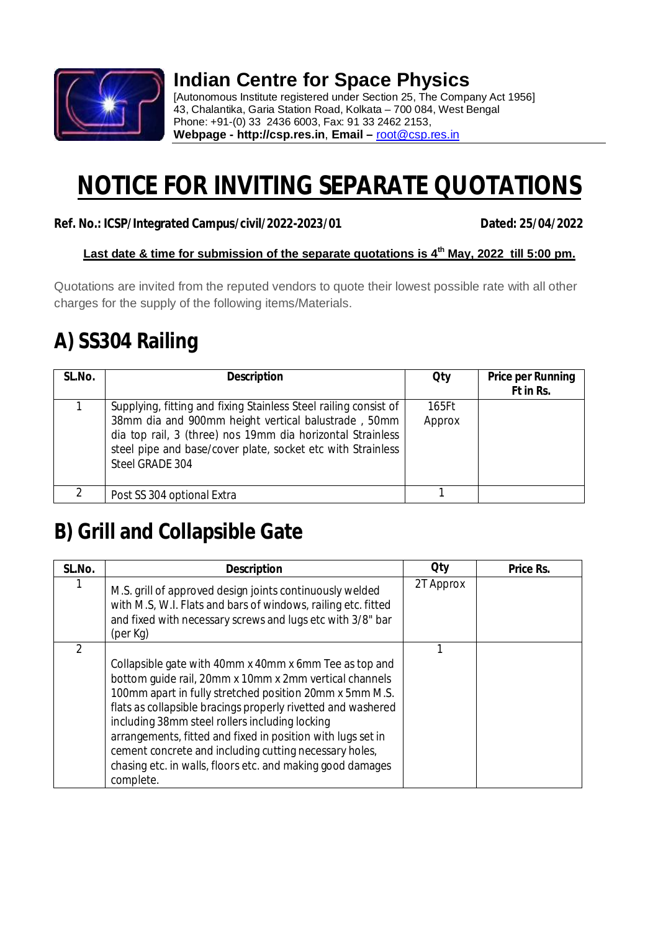

### **Indian Centre for Space Physics**

[Autonomous Institute registered under Section 25, The Company Act 1956] 43, Chalantika, Garia Station Road, Kolkata – 700 084, West Bengal Phone: +91-(0) 33 2436 6003, Fax: 91 33 2462 2153, **Webpage - http://csp.res.in**, **Email –** root@csp.res.in

# **NOTICE FOR INVITING SEPARATE QUOTATIONS**

#### **Ref. No.: ICSP/Integrated Campus/civil/2022-2023/01 Dated: 25/04/2022**

#### **Last date & time for submission of the separate quotations is 4 th May, 2022 till 5:00 pm.**

Quotations are invited from the reputed vendors to quote their lowest possible rate with all other charges for the supply of the following items/Materials.

#### **A) SS304 Railing**

| SL.No. | <b>Description</b>                                                                                                                                                                                                                                                      | <b>Qty</b>      | <b>Price per Running</b><br>Ft in Rs. |
|--------|-------------------------------------------------------------------------------------------------------------------------------------------------------------------------------------------------------------------------------------------------------------------------|-----------------|---------------------------------------|
|        | Supplying, fitting and fixing Stainless Steel railing consist of<br>38mm dia and 900mm height vertical balustrade, 50mm<br>dia top rail, 3 (three) nos 19mm dia horizontal Strainless<br>steel pipe and base/cover plate, socket etc with Strainless<br>Steel GRADE 304 | 165Ft<br>Approx |                                       |
|        | Post SS 304 optional Extra                                                                                                                                                                                                                                              |                 |                                       |

#### **B) Grill and Collapsible Gate**

| SL.No.        | <b>Description</b>                                                                                                                                                                                                                                                                                                                                                                                                                                                                                | <b>Qty</b> | Price Rs. |
|---------------|---------------------------------------------------------------------------------------------------------------------------------------------------------------------------------------------------------------------------------------------------------------------------------------------------------------------------------------------------------------------------------------------------------------------------------------------------------------------------------------------------|------------|-----------|
|               | M.S. grill of approved design joints continuously welded<br>with M.S, W.I. Flats and bars of windows, railing etc. fitted<br>and fixed with necessary screws and lugs etc with 3/8" bar<br>(per Kg)                                                                                                                                                                                                                                                                                               | 2T Approx  |           |
| $\mathcal{P}$ | Collapsible gate with 40mm x 40mm x 6mm Tee as top and<br>bottom guide rail, 20mm x 10mm x 2mm vertical channels<br>100mm apart in fully stretched position 20mm x 5mm M.S.<br>flats as collapsible bracings properly rivetted and washered<br>including 38mm steel rollers including locking<br>arrangements, fitted and fixed in position with lugs set in<br>cement concrete and including cutting necessary holes,<br>chasing etc. in walls, floors etc. and making good damages<br>complete. |            |           |